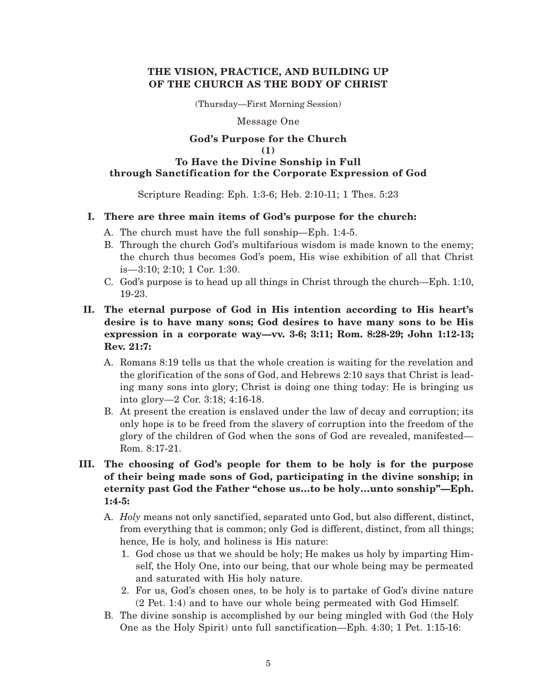# **THE VISION, PRACTICE, AND BUILDING UP OF THE CHURCH AS THE BODY OF CHRIST**

(Thursday—First Morning Session)

Message One

## **God's Purpose for the Church (1) To Have the Divine Sonship in Full through Sanctification for the Corporate Expression of God**

## Scripture Reading: Eph. 1:3-6; Heb. 2:10-11; 1 Thes. 5:23

## **I. There are three main items of God's purpose for the church:**

- A. The church must have the full sonship—Eph. 1:4-5.
- B. Through the church God's multifarious wisdom is made known to the enemy; the church thus becomes God's poem, His wise exhibition of all that Christ is—3:10; 2:10; 1 Cor. 1:30.
- C. God's purpose is to head up all things in Christ through the church—Eph. 1:10, 19-23.
- **II. The eternal purpose of God in His intention according to His heart's desire is to have many sons; God desires to have many sons to be His expression in a corporate way—vv. 3-6; 3:11; Rom. 8:28-29; John 1:12-13; Rev. 21:7:**
	- A. Romans 8:19 tells us that the whole creation is waiting for the revelation and the glorification of the sons of God, and Hebrews 2:10 says that Christ is leading many sons into glory; Christ is doing one thing today: He is bringing us into glory—2 Cor. 3:18; 4:16-18.
	- B. At present the creation is enslaved under the law of decay and corruption; its only hope is to be freed from the slavery of corruption into the freedom of the glory of the children of God when the sons of God are revealed, manifested— Rom. 8:17-21.
- **III. The choosing of God's people for them to be holy is for the purpose of their being made sons of God, participating in the divine sonship; in eternity past God the Father "chose us…to be holy…unto sonship"—Eph. 1:4-5:**
	- A. *Holy* means not only sanctified, separated unto God, but also different, distinct, from everything that is common; only God is different, distinct, from all things; hence, He is holy, and holiness is His nature:
		- 1. God chose us that we should be holy; He makes us holy by imparting Himself, the Holy One, into our being, that our whole being may be permeated and saturated with His holy nature.
		- 2. For us, God's chosen ones, to be holy is to partake of God's divine nature (2 Pet. 1:4) and to have our whole being permeated with God Himself.
	- B. The divine sonship is accomplished by our being mingled with God (the Holy One as the Holy Spirit) unto full sanctification—Eph. 4:30; 1 Pet. 1:15-16: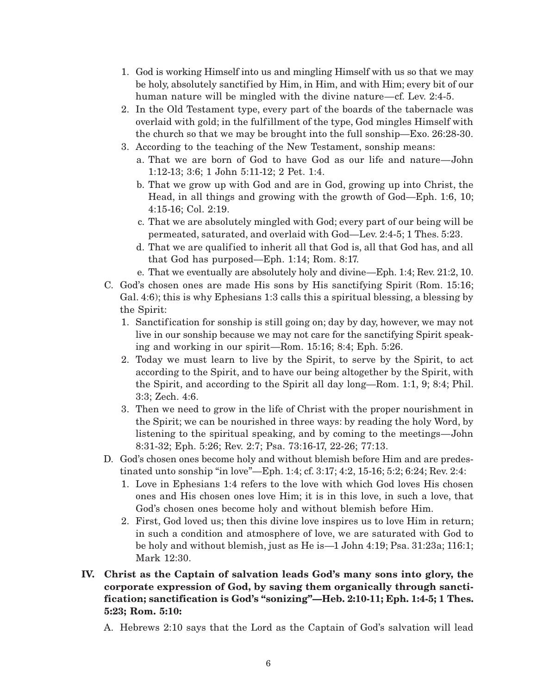- 1. God is working Himself into us and mingling Himself with us so that we may be holy, absolutely sanctified by Him, in Him, and with Him; every bit of our human nature will be mingled with the divine nature—cf. Lev. 2:4-5.
- 2. In the Old Testament type, every part of the boards of the tabernacle was overlaid with gold; in the fulfillment of the type, God mingles Himself with the church so that we may be brought into the full sonship—Exo. 26:28-30.
- 3. According to the teaching of the New Testament, sonship means:
	- a. That we are born of God to have God as our life and nature—John 1:12-13; 3:6; 1 John 5:11-12; 2 Pet. 1:4.
	- b. That we grow up with God and are in God, growing up into Christ, the Head, in all things and growing with the growth of God—Eph. 1:6, 10; 4:15-16; Col. 2:19.
	- c. That we are absolutely mingled with God; every part of our being will be permeated, saturated, and overlaid with God—Lev. 2:4-5; 1 Thes. 5:23.
	- d. That we are qualified to inherit all that God is, all that God has, and all that God has purposed—Eph. 1:14; Rom. 8:17.
	- e. That we eventually are absolutely holy and divine—Eph. 1:4; Rev. 21:2, 10.
- C. God's chosen ones are made His sons by His sanctifying Spirit (Rom. 15:16; Gal. 4:6); this is why Ephesians 1:3 calls this a spiritual blessing, a blessing by the Spirit:
	- 1. Sanctification for sonship is still going on; day by day, however, we may not live in our sonship because we may not care for the sanctifying Spirit speaking and working in our spirit—Rom. 15:16; 8:4; Eph. 5:26.
	- 2. Today we must learn to live by the Spirit, to serve by the Spirit, to act according to the Spirit, and to have our being altogether by the Spirit, with the Spirit, and according to the Spirit all day long—Rom. 1:1, 9; 8:4; Phil. 3:3; Zech. 4:6.
	- 3. Then we need to grow in the life of Christ with the proper nourishment in the Spirit; we can be nourished in three ways: by reading the holy Word, by listening to the spiritual speaking, and by coming to the meetings—John 8:31-32; Eph. 5:26; Rev. 2:7; Psa. 73:16-17, 22-26; 77:13.
- D. God's chosen ones become holy and without blemish before Him and are predestinated unto sonship "in love"—Eph. 1:4; cf. 3:17; 4:2, 15-16; 5:2; 6:24; Rev. 2:4:
	- 1. Love in Ephesians 1:4 refers to the love with which God loves His chosen ones and His chosen ones love Him; it is in this love, in such a love, that God's chosen ones become holy and without blemish before Him.
	- 2. First, God loved us; then this divine love inspires us to love Him in return; in such a condition and atmosphere of love, we are saturated with God to be holy and without blemish, just as He is—1 John 4:19; Psa. 31:23a; 116:1; Mark 12:30.
- **IV. Christ as the Captain of salvation leads God's many sons into glory, the corporate expression of God, by saving them organically through sanctification; sanctification is God's "sonizing"—Heb. 2:10-11; Eph. 1:4-5; 1 Thes. 5:23; Rom. 5:10:**
	- A. Hebrews 2:10 says that the Lord as the Captain of God's salvation will lead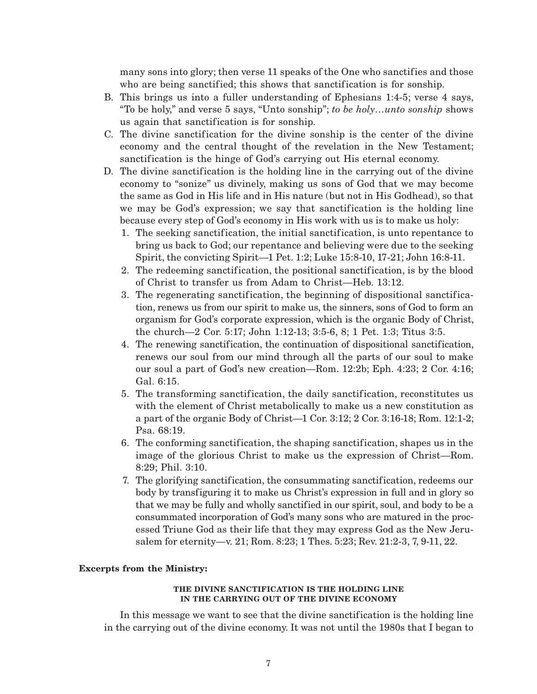many sons into glory; then verse 11 speaks of the One who sanctifies and those who are being sanctified; this shows that sanctification is for sonship.

- B. This brings us into a fuller understanding of Ephesians 1:4-5; verse 4 says, "To be holy," and verse 5 says, "Unto sonship"; *to be holy…unto sonship* shows us again that sanctification is for sonship.
- C. The divine sanctification for the divine sonship is the center of the divine economy and the central thought of the revelation in the New Testament; sanctification is the hinge of God's carrying out His eternal economy.
- D. The divine sanctification is the holding line in the carrying out of the divine economy to "sonize" us divinely, making us sons of God that we may become the same as God in His life and in His nature (but not in His Godhead), so that we may be God's expression; we say that sanctification is the holding line because every step of God's economy in His work with us is to make us holy:
	- 1. The seeking sanctification, the initial sanctification, is unto repentance to bring us back to God; our repentance and believing were due to the seeking Spirit, the convicting Spirit—1 Pet. 1:2; Luke 15:8-10, 17-21; John 16:8-11.
	- 2. The redeeming sanctification, the positional sanctification, is by the blood of Christ to transfer us from Adam to Christ—Heb. 13:12.
	- 3. The regenerating sanctification, the beginning of dispositional sanctification, renews us from our spirit to make us, the sinners, sons of God to form an organism for God's corporate expression, which is the organic Body of Christ, the church—2 Cor. 5:17; John 1:12-13; 3:5-6, 8; 1 Pet. 1:3; Titus 3:5.
	- 4. The renewing sanctification, the continuation of dispositional sanctification, renews our soul from our mind through all the parts of our soul to make our soul a part of God's new creation—Rom. 12:2b; Eph. 4:23; 2 Cor. 4:16; Gal. 6:15.
	- 5. The transforming sanctification, the daily sanctification, reconstitutes us with the element of Christ metabolically to make us a new constitution as a part of the organic Body of Christ—1 Cor. 3:12; 2 Cor. 3:16-18; Rom. 12:1-2; Psa. 68:19.
	- 6. The conforming sanctification, the shaping sanctification, shapes us in the image of the glorious Christ to make us the expression of Christ—Rom. 8:29; Phil. 3:10.
	- 7. The glorifying sanctification, the consummating sanctification, redeems our body by transfiguring it to make us Christ's expression in full and in glory so that we may be fully and wholly sanctified in our spirit, soul, and body to be a consummated incorporation of God's many sons who are matured in the processed Triune God as their life that they may express God as the New Jerusalem for eternity—v. 21; Rom. 8:23; 1 Thes. 5:23; Rev. 21:2-3, 7, 9-11, 22.

### **Excerpts from the Ministry:**

#### **THE DIVINE SANCTIFICATION IS THE HOLDING LINE IN THE CARRYING OUT OF THE DIVINE ECONOMY**

In this message we want to see that the divine sanctification is the holding line in the carrying out of the divine economy. It was not until the 1980s that I began to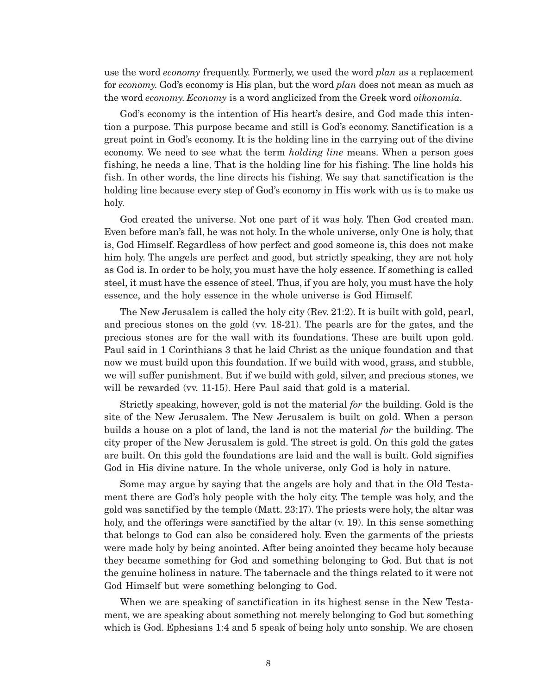use the word *economy* frequently. Formerly, we used the word *plan* as a replacement for *economy.* God's economy is His plan, but the word *plan* does not mean as much as the word *economy. Economy* is a word anglicized from the Greek word *oikonomia.*

God's economy is the intention of His heart's desire, and God made this intention a purpose. This purpose became and still is God's economy. Sanctification is a great point in God's economy. It is the holding line in the carrying out of the divine economy. We need to see what the term *holding line* means. When a person goes fishing, he needs a line. That is the holding line for his fishing. The line holds his fish. In other words, the line directs his fishing. We say that sanctification is the holding line because every step of God's economy in His work with us is to make us holy.

God created the universe. Not one part of it was holy. Then God created man. Even before man's fall, he was not holy. In the whole universe, only One is holy, that is, God Himself. Regardless of how perfect and good someone is, this does not make him holy. The angels are perfect and good, but strictly speaking, they are not holy as God is. In order to be holy, you must have the holy essence. If something is called steel, it must have the essence of steel. Thus, if you are holy, you must have the holy essence, and the holy essence in the whole universe is God Himself.

The New Jerusalem is called the holy city (Rev. 21:2). It is built with gold, pearl, and precious stones on the gold (vv. 18-21). The pearls are for the gates, and the precious stones are for the wall with its foundations. These are built upon gold. Paul said in 1 Corinthians 3 that he laid Christ as the unique foundation and that now we must build upon this foundation. If we build with wood, grass, and stubble, we will suffer punishment. But if we build with gold, silver, and precious stones, we will be rewarded (vv. 11-15). Here Paul said that gold is a material.

Strictly speaking, however, gold is not the material *for* the building. Gold is the site of the New Jerusalem. The New Jerusalem is built on gold. When a person builds a house on a plot of land, the land is not the material *for* the building. The city proper of the New Jerusalem is gold. The street is gold. On this gold the gates are built. On this gold the foundations are laid and the wall is built. Gold signifies God in His divine nature. In the whole universe, only God is holy in nature.

Some may argue by saying that the angels are holy and that in the Old Testament there are God's holy people with the holy city. The temple was holy, and the gold was sanctified by the temple (Matt. 23:17). The priests were holy, the altar was holy, and the offerings were sanctified by the altar (v. 19). In this sense something that belongs to God can also be considered holy. Even the garments of the priests were made holy by being anointed. After being anointed they became holy because they became something for God and something belonging to God. But that is not the genuine holiness in nature. The tabernacle and the things related to it were not God Himself but were something belonging to God.

When we are speaking of sanctification in its highest sense in the New Testament, we are speaking about something not merely belonging to God but something which is God. Ephesians 1:4 and 5 speak of being holy unto sonship. We are chosen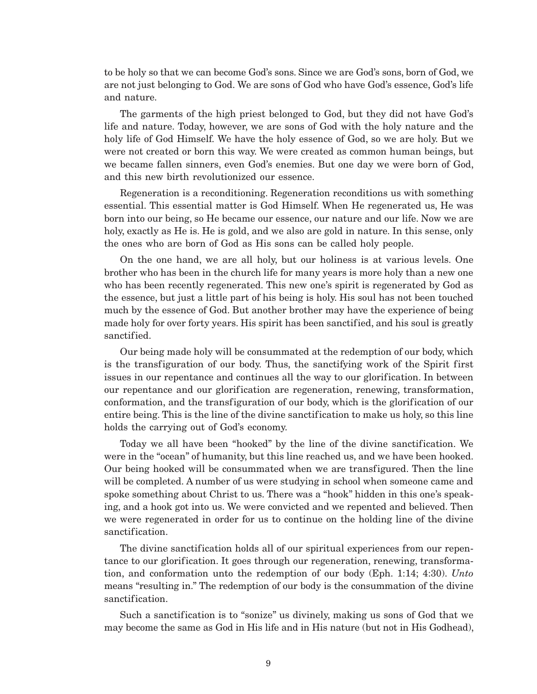to be holy so that we can become God's sons. Since we are God's sons, born of God, we are not just belonging to God. We are sons of God who have God's essence, God's life and nature.

The garments of the high priest belonged to God, but they did not have God's life and nature. Today, however, we are sons of God with the holy nature and the holy life of God Himself. We have the holy essence of God, so we are holy. But we were not created or born this way. We were created as common human beings, but we became fallen sinners, even God's enemies. But one day we were born of God, and this new birth revolutionized our essence.

Regeneration is a reconditioning. Regeneration reconditions us with something essential. This essential matter is God Himself. When He regenerated us, He was born into our being, so He became our essence, our nature and our life. Now we are holy, exactly as He is. He is gold, and we also are gold in nature. In this sense, only the ones who are born of God as His sons can be called holy people.

On the one hand, we are all holy, but our holiness is at various levels. One brother who has been in the church life for many years is more holy than a new one who has been recently regenerated. This new one's spirit is regenerated by God as the essence, but just a little part of his being is holy. His soul has not been touched much by the essence of God. But another brother may have the experience of being made holy for over forty years. His spirit has been sanctified, and his soul is greatly sanctified.

Our being made holy will be consummated at the redemption of our body, which is the transfiguration of our body. Thus, the sanctifying work of the Spirit first issues in our repentance and continues all the way to our glorification. In between our repentance and our glorification are regeneration, renewing, transformation, conformation, and the transfiguration of our body, which is the glorification of our entire being. This is the line of the divine sanctification to make us holy, so this line holds the carrying out of God's economy.

Today we all have been "hooked" by the line of the divine sanctification. We were in the "ocean" of humanity, but this line reached us, and we have been hooked. Our being hooked will be consummated when we are transfigured. Then the line will be completed. A number of us were studying in school when someone came and spoke something about Christ to us. There was a "hook" hidden in this one's speaking, and a hook got into us. We were convicted and we repented and believed. Then we were regenerated in order for us to continue on the holding line of the divine sanctification.

The divine sanctification holds all of our spiritual experiences from our repentance to our glorification. It goes through our regeneration, renewing, transformation, and conformation unto the redemption of our body (Eph. 1:14; 4:30). *Unto* means "resulting in." The redemption of our body is the consummation of the divine sanctification.

Such a sanctification is to "sonize" us divinely, making us sons of God that we may become the same as God in His life and in His nature (but not in His Godhead),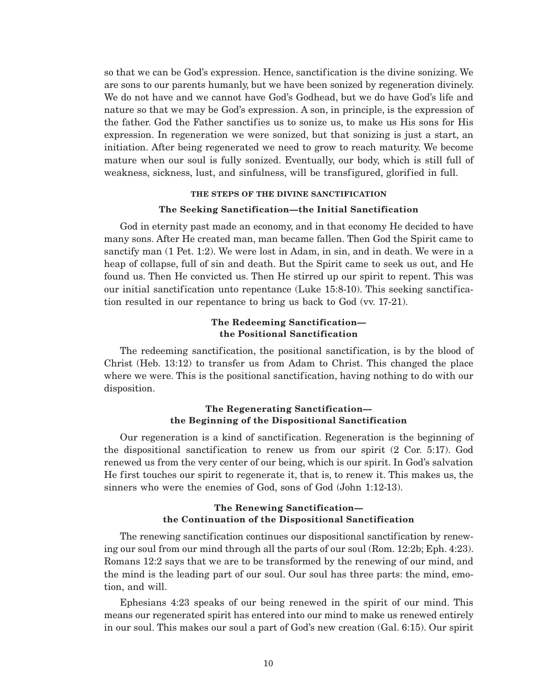so that we can be God's expression. Hence, sanctification is the divine sonizing. We are sons to our parents humanly, but we have been sonized by regeneration divinely. We do not have and we cannot have God's Godhead, but we do have God's life and nature so that we may be God's expression. A son, in principle, is the expression of the father. God the Father sanctifies us to sonize us, to make us His sons for His expression. In regeneration we were sonized, but that sonizing is just a start, an initiation. After being regenerated we need to grow to reach maturity. We become mature when our soul is fully sonized. Eventually, our body, which is still full of weakness, sickness, lust, and sinfulness, will be transfigured, glorified in full.

### **THE STEPS OF THE DIVINE SANCTIFICATION**

#### **The Seeking Sanctification—the Initial Sanctification**

God in eternity past made an economy, and in that economy He decided to have many sons. After He created man, man became fallen. Then God the Spirit came to sanctify man (1 Pet. 1:2). We were lost in Adam, in sin, and in death. We were in a heap of collapse, full of sin and death. But the Spirit came to seek us out, and He found us. Then He convicted us. Then He stirred up our spirit to repent. This was our initial sanctification unto repentance (Luke 15:8-10). This seeking sanctification resulted in our repentance to bring us back to God (vv. 17-21).

## **The Redeeming Sanctification the Positional Sanctification**

The redeeming sanctification, the positional sanctification, is by the blood of Christ (Heb. 13:12) to transfer us from Adam to Christ. This changed the place where we were. This is the positional sanctification, having nothing to do with our disposition.

### **The Regenerating Sanctification the Beginning of the Dispositional Sanctification**

Our regeneration is a kind of sanctification. Regeneration is the beginning of the dispositional sanctification to renew us from our spirit (2 Cor. 5:17). God renewed us from the very center of our being, which is our spirit. In God's salvation He first touches our spirit to regenerate it, that is, to renew it. This makes us, the sinners who were the enemies of God, sons of God (John 1:12-13).

## **The Renewing Sanctification the Continuation of the Dispositional Sanctification**

The renewing sanctification continues our dispositional sanctification by renewing our soul from our mind through all the parts of our soul (Rom. 12:2b; Eph. 4:23). Romans 12:2 says that we are to be transformed by the renewing of our mind, and the mind is the leading part of our soul. Our soul has three parts: the mind, emotion, and will.

Ephesians 4:23 speaks of our being renewed in the spirit of our mind. This means our regenerated spirit has entered into our mind to make us renewed entirely in our soul. This makes our soul a part of God's new creation (Gal. 6:15). Our spirit